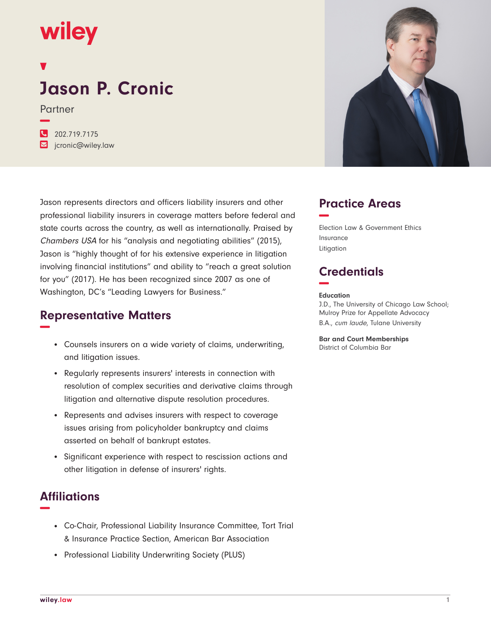## wiley

# **Jason P. Cronic**

Partner

**−**

**�** 202.719.7175 **�** jcronic@wiley.law

Jason represents directors and officers liability insurers and other professional liability insurers in coverage matters before federal and state courts across the country, as well as internationally. Praised by Chambers USA for his "analysis and negotiating abilities" (2015), Jason is "highly thought of for his extensive experience in litigation involving financial institutions" and ability to "reach a great solution for you" (2017). He has been recognized since 2007 as one of Washington, DC's "Leading Lawyers for Business."

#### **Representative Matters −**

- Counsels insurers on a wide variety of claims, underwriting, and litigation issues.
- Regularly represents insurers' interests in connection with resolution of complex securities and derivative claims through litigation and alternative dispute resolution procedures.
- Represents and advises insurers with respect to coverage issues arising from policyholder bankruptcy and claims asserted on behalf of bankrupt estates.
- Significant experience with respect to rescission actions and other litigation in defense of insurers' rights.

#### **Affiliations −**

- Co-Chair, Professional Liability Insurance Committee, Tort Trial & Insurance Practice Section, American Bar Association
- Professional Liability Underwriting Society (PLUS)



### **Practice Areas −**

Election Law & Government Ethics Insurance Litigation

### **Credentials −**

#### **Education**

J.D., The University of Chicago Law School; Mulroy Prize for Appellate Advocacy B.A., cum laude, Tulane University

**Bar and Court Memberships** District of Columbia Bar